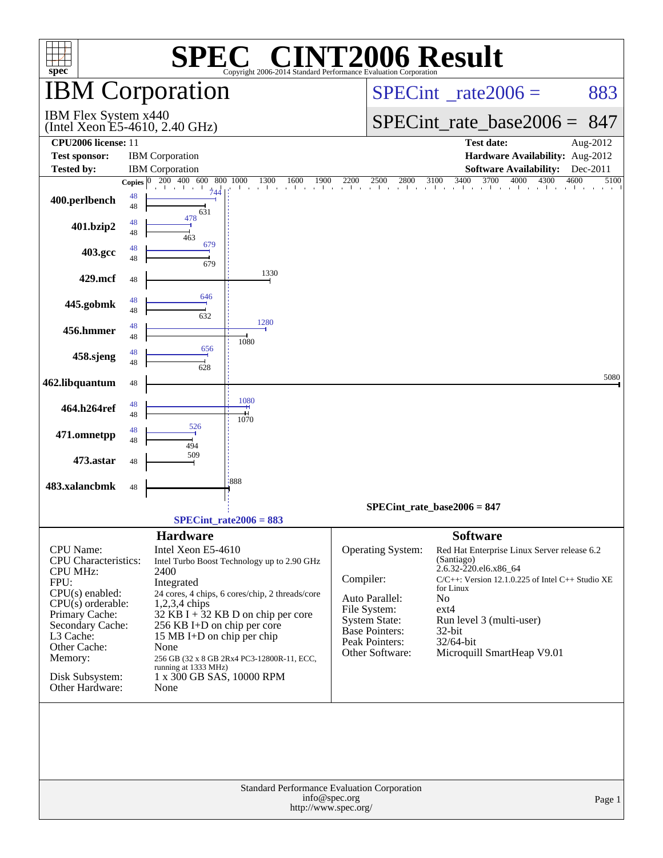| $spec^*$                                               |                    |                                       | Copyright 2006-2014 Standard Performance Evaluation Corporation | <b>C® CINT2006 Result</b>                      |                                                                                |              |
|--------------------------------------------------------|--------------------|---------------------------------------|-----------------------------------------------------------------|------------------------------------------------|--------------------------------------------------------------------------------|--------------|
|                                                        |                    | <b>IBM</b> Corporation                |                                                                 |                                                | $SPECint^{\circ}$ rate $2006 =$                                                | 883          |
| IBM Flex System x440<br>(Intel Xeon E5-4610, 2.40 GHz) |                    |                                       |                                                                 |                                                | $SPECint_rate\_base2006 =$                                                     | 847          |
| <b>CPU2006</b> license: 11                             |                    |                                       |                                                                 |                                                | <b>Test date:</b>                                                              | Aug-2012     |
| <b>Test sponsor:</b>                                   |                    | <b>IBM</b> Corporation                |                                                                 |                                                | Hardware Availability: Aug-2012                                                |              |
| <b>Tested by:</b>                                      |                    | <b>IBM</b> Corporation                |                                                                 |                                                | <b>Software Availability:</b>                                                  | Dec-2011     |
|                                                        | Copies $ 0\rangle$ | $200 \quad 400$<br>600<br>800<br>744  | 1300<br>1900<br>1000<br>1600<br>$\sim$ $\sim$ $\sim$ $\sim$     | 2200<br>2500<br>2800<br>$\sim$ 1.<br>$\sim$ 1. | 3400<br>3700<br>4000<br>3100<br>4300<br>the contract of the contract and       | 4600<br>5100 |
| 400.perlbench                                          | 48<br>48           | 631                                   |                                                                 |                                                |                                                                                |              |
| 401.bzip2                                              | 48<br>48           | 478<br>463                            |                                                                 |                                                |                                                                                |              |
| 403.gcc                                                | 48<br>48           | 679<br>679                            |                                                                 |                                                |                                                                                |              |
| 429.mcf                                                | 48                 |                                       | 1330                                                            |                                                |                                                                                |              |
| 445.gobmk                                              | 48<br>48           | 646<br>632                            |                                                                 |                                                |                                                                                |              |
| 456.hmmer                                              | 48<br>48           |                                       | 1280<br>1080                                                    |                                                |                                                                                |              |
| 458.sjeng                                              | 48<br>48           | 656<br>628                            |                                                                 |                                                |                                                                                |              |
| 462.libquantum                                         | 48                 |                                       |                                                                 |                                                |                                                                                | 5080         |
| 464.h264ref                                            | 48<br>48           |                                       | 1080<br>1070                                                    |                                                |                                                                                |              |
| 471.omnetpp                                            | 48<br>48           | 526<br>494                            |                                                                 |                                                |                                                                                |              |
| 473.astar                                              | 48                 | 509                                   |                                                                 |                                                |                                                                                |              |
| 483.xalancbmk                                          | 48                 |                                       | :888                                                            |                                                |                                                                                |              |
|                                                        |                    |                                       |                                                                 |                                                | SPECint rate base $2006 = 847$                                                 |              |
|                                                        |                    |                                       | $SPECint_rate2006 = 883$                                        |                                                |                                                                                |              |
| CPU Name:<br><b>CPU</b> Characteristics:               |                    | <b>Hardware</b><br>Intel Xeon E5-4610 | Intel Turbo Boost Technology up to 2.90 GHz                     | Operating System:                              | <b>Software</b><br>Red Hat Enterprise Linux Server release 6.2<br>(Santiago)   |              |
| <b>CPU MHz:</b>                                        |                    |                                       |                                                                 | Compiler:                                      | 2.6.32-220.el6.x86_64<br>$C/C++$ : Version 12.1.0.225 of Intel $C++$ Studio XE |              |
| FPU:<br>CPU(s) enabled:                                |                    | Integrated                            | 24 cores, 4 chips, 6 cores/chip, 2 threads/core                 |                                                | for Linux                                                                      |              |
| $CPU(s)$ orderable:<br>$1,2,3,4$ chips                 |                    |                                       |                                                                 | Auto Parallel:<br>File System:                 | No<br>$ext{4}$                                                                 |              |
| Primary Cache:<br>Secondary Cache:                     |                    | 256 KB I+D on chip per core           | $32$ KB I + 32 KB D on chip per core                            | <b>System State:</b>                           | Run level 3 (multi-user)                                                       |              |
| L3 Cache:                                              |                    | 15 MB I+D on chip per chip            |                                                                 | Base Pointers:<br>Peak Pointers:               | $32$ -bit                                                                      |              |
| Other Cache:                                           |                    | None                                  |                                                                 | Other Software:                                | 32/64-bit<br>Microquill SmartHeap V9.01                                        |              |
| Memory:                                                |                    | running at 1333 MHz)                  | 256 GB (32 x 8 GB 2Rx4 PC3-12800R-11, ECC,                      |                                                |                                                                                |              |
| Disk Subsystem:<br>Other Hardware:                     |                    | 1 x 300 GB SAS, 10000 RPM<br>None     |                                                                 |                                                |                                                                                |              |
|                                                        |                    |                                       |                                                                 | Standard Performance Evaluation Corporation    |                                                                                |              |
|                                                        |                    |                                       |                                                                 | info@spec.org<br>http://www.spec.org/          |                                                                                | Page 1       |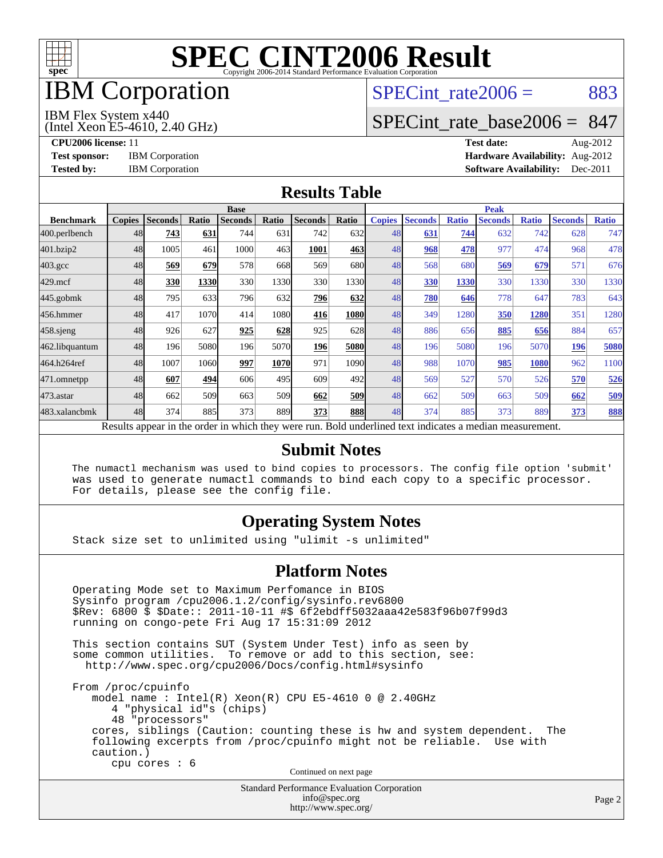

## IBM Corporation

## SPECint rate $2006 = 883$

#### IBM Flex System x440

(Intel Xeon E5-4610, 2.40 GHz)

[SPECint\\_rate\\_base2006 =](http://www.spec.org/auto/cpu2006/Docs/result-fields.html#SPECintratebase2006) 847

**[CPU2006 license:](http://www.spec.org/auto/cpu2006/Docs/result-fields.html#CPU2006license)** 11 **[Test date:](http://www.spec.org/auto/cpu2006/Docs/result-fields.html#Testdate)** Aug-2012 **[Test sponsor:](http://www.spec.org/auto/cpu2006/Docs/result-fields.html#Testsponsor)** IBM Corporation **[Hardware Availability:](http://www.spec.org/auto/cpu2006/Docs/result-fields.html#HardwareAvailability)** Aug-2012 **[Tested by:](http://www.spec.org/auto/cpu2006/Docs/result-fields.html#Testedby)** IBM Corporation **[Software Availability:](http://www.spec.org/auto/cpu2006/Docs/result-fields.html#SoftwareAvailability)** Dec-2011

#### **[Results Table](http://www.spec.org/auto/cpu2006/Docs/result-fields.html#ResultsTable)**

|                                                                                                          | <b>Base</b>   |                |       |                |       |                |       | <b>Peak</b>   |                |              |                |              |                |              |
|----------------------------------------------------------------------------------------------------------|---------------|----------------|-------|----------------|-------|----------------|-------|---------------|----------------|--------------|----------------|--------------|----------------|--------------|
| <b>Benchmark</b>                                                                                         | <b>Copies</b> | <b>Seconds</b> | Ratio | <b>Seconds</b> | Ratio | <b>Seconds</b> | Ratio | <b>Copies</b> | <b>Seconds</b> | <b>Ratio</b> | <b>Seconds</b> | <b>Ratio</b> | <b>Seconds</b> | <b>Ratio</b> |
| 400.perlbench                                                                                            | 48            | 743            | 631   | 744            | 631   | 742            | 632   | 48            | 631            | 744          | 632            | 742          | 628            | 747          |
| 401.bzip2                                                                                                | 48            | 1005           | 461   | 1000           | 463   | 1001           | 463   | 48            | 968            | 478          | 977            | 474          | 968            | 478          |
| $403.\mathrm{gcc}$                                                                                       | 48            | 569            | 679   | 578            | 668   | 569            | 680   | 48            | 568            | 680          | 569            | 679          | 571            | 676          |
| $429$ .mcf                                                                                               | 48            | 330            | 1330  | 330            | 1330  | 330            | 1330  | 48            | 330            | 1330         | 330            | 1330         | 330            | 1330         |
| $445$ .gobmk                                                                                             | 48            | 795            | 633   | 796            | 632   | 796            | 632   | 48            | 780            | 646          | 778            | 647          | 783            | 643          |
| 456.hmmer                                                                                                | 48            | 417            | 1070  | 414            | 1080  | 416            | 1080  | 48            | 349            | 1280         | 350            | 1280         | 351            | 1280         |
| $458$ .sjeng                                                                                             | 48            | 926            | 627   | 925            | 628   | 925            | 628   | 48            | 886            | 656          | 885            | 656          | 884            | 657          |
| 462.libquantum                                                                                           | 48            | 196            | 5080  | 196            | 5070  | 196            | 5080  | 48            | 196            | 5080         | 196            | 5070         | 196            | 5080         |
| 464.h264ref                                                                                              | 48            | 1007           | 1060  | 997            | 1070  | 971            | 1090  | 48            | 988            | 1070         | 985            | 1080         | 962            | 1100         |
| 471.omnetpp                                                                                              | 48            | 607            | 494   | 606            | 495I  | 609            | 492   | 48            | 569            | 527          | 570            | 526          | 570            | 526          |
| $473$ . astar                                                                                            | 48            | 662            | 509   | 663            | 509   | 662            | 509   | 48            | 662            | 509          | 663            | 509          | 662            | 509          |
| 483.xalancbmk                                                                                            | 48            | 374            | 885   | 373            | 889   | 373            | 888   | 48            | 374            | 885          | 373            | 889          | 373            | 888          |
| Results appear in the order in which they were run. Bold underlined text indicates a median measurement. |               |                |       |                |       |                |       |               |                |              |                |              |                |              |

#### **[Submit Notes](http://www.spec.org/auto/cpu2006/Docs/result-fields.html#SubmitNotes)**

 The numactl mechanism was used to bind copies to processors. The config file option 'submit' was used to generate numactl commands to bind each copy to a specific processor. For details, please see the config file.

### **[Operating System Notes](http://www.spec.org/auto/cpu2006/Docs/result-fields.html#OperatingSystemNotes)**

Stack size set to unlimited using "ulimit -s unlimited"

#### **[Platform Notes](http://www.spec.org/auto/cpu2006/Docs/result-fields.html#PlatformNotes)**

 Operating Mode set to Maximum Perfomance in BIOS Sysinfo program /cpu2006.1.2/config/sysinfo.rev6800 \$Rev: 6800 \$ \$Date:: 2011-10-11 #\$ 6f2ebdff5032aaa42e583f96b07f99d3 running on congo-pete Fri Aug 17 15:31:09 2012 This section contains SUT (System Under Test) info as seen by some common utilities. To remove or add to this section, see: <http://www.spec.org/cpu2006/Docs/config.html#sysinfo> From /proc/cpuinfo model name : Intel(R) Xeon(R) CPU E5-4610 0 @ 2.40GHz 4 "physical id"s (chips) 48 "processors" cores, siblings (Caution: counting these is hw and system dependent. The following excerpts from /proc/cpuinfo might not be reliable. Use with caution.) cpu cores : 6 Continued on next page

Standard Performance Evaluation Corporation [info@spec.org](mailto:info@spec.org) <http://www.spec.org/>

Page 2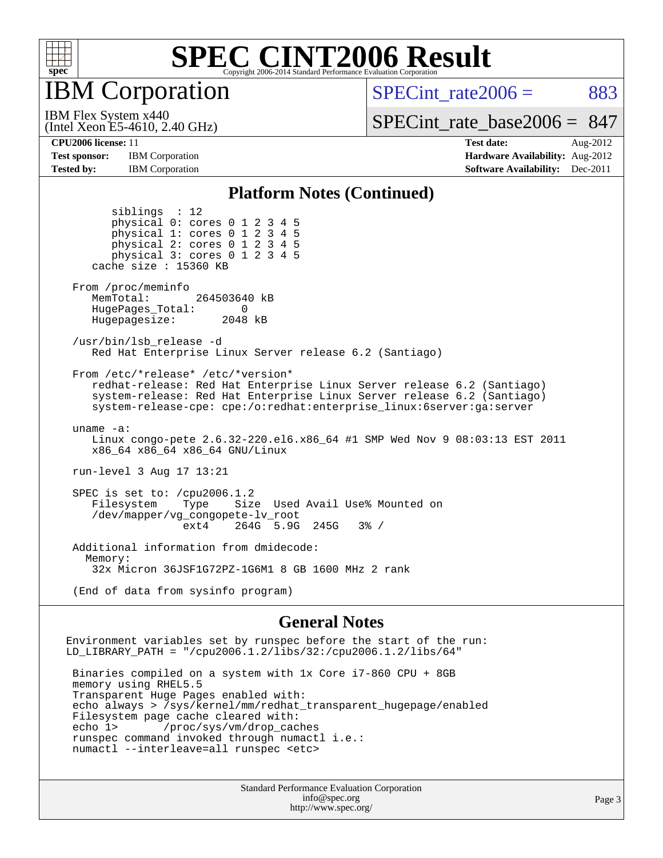

IBM Corporation

SPECint rate $2006 = 883$ 

[SPECint\\_rate\\_base2006 =](http://www.spec.org/auto/cpu2006/Docs/result-fields.html#SPECintratebase2006) 847

IBM Flex System x440

**[Test sponsor:](http://www.spec.org/auto/cpu2006/Docs/result-fields.html#Testsponsor)** IBM Corporation **[Hardware Availability:](http://www.spec.org/auto/cpu2006/Docs/result-fields.html#HardwareAvailability)** Aug-2012 **[Tested by:](http://www.spec.org/auto/cpu2006/Docs/result-fields.html#Testedby)** IBM Corporation **IBM** Corporation **[Software Availability:](http://www.spec.org/auto/cpu2006/Docs/result-fields.html#SoftwareAvailability)** Dec-2011

(Intel Xeon E5-4610, 2.40 GHz)

**[CPU2006 license:](http://www.spec.org/auto/cpu2006/Docs/result-fields.html#CPU2006license)** 11 **[Test date:](http://www.spec.org/auto/cpu2006/Docs/result-fields.html#Testdate)** Aug-2012

#### **[Platform Notes \(Continued\)](http://www.spec.org/auto/cpu2006/Docs/result-fields.html#PlatformNotes)**

 siblings : 12 physical 0: cores 0 1 2 3 4 5 physical 1: cores 0 1 2 3 4 5 physical 2: cores 0 1 2 3 4 5 physical 3: cores 0 1 2 3 4 5 cache size : 15360 KB From /proc/meminfo MemTotal: 264503640 kB HugePages\_Total: 0<br>Hugepagesize: 2048 kB Hugepagesize: /usr/bin/lsb\_release -d Red Hat Enterprise Linux Server release 6.2 (Santiago) From /etc/\*release\* /etc/\*version\* redhat-release: Red Hat Enterprise Linux Server release 6.2 (Santiago) system-release: Red Hat Enterprise Linux Server release 6.2 (Santiago) system-release-cpe: cpe:/o:redhat:enterprise\_linux:6server:ga:server uname -a: Linux congo-pete 2.6.32-220.el6.x86\_64 #1 SMP Wed Nov 9 08:03:13 EST 2011 x86\_64 x86\_64 x86\_64 GNU/Linux run-level 3 Aug 17 13:21 SPEC is set to: /cpu2006.1.2 Filesystem Type Size Used Avail Use% Mounted on /dev/mapper/vg\_congopete-lv\_root ext4 264G 5.9G 245G 3% / Additional information from dmidecode: Memory: 32x Micron 36JSF1G72PZ-1G6M1 8 GB 1600 MHz 2 rank

(End of data from sysinfo program)

#### **[General Notes](http://www.spec.org/auto/cpu2006/Docs/result-fields.html#GeneralNotes)**

Environment variables set by runspec before the start of the run: LD LIBRARY PATH = "/cpu2006.1.2/libs/32:/cpu2006.1.2/libs/64" Binaries compiled on a system with 1x Core i7-860 CPU + 8GB memory using RHEL5.5 Transparent Huge Pages enabled with: echo always > /sys/kernel/mm/redhat\_transparent\_hugepage/enabled Filesystem page cache cleared with: echo 1> /proc/sys/vm/drop\_caches runspec command invoked through numactl i.e.: numactl --interleave=all runspec <etc>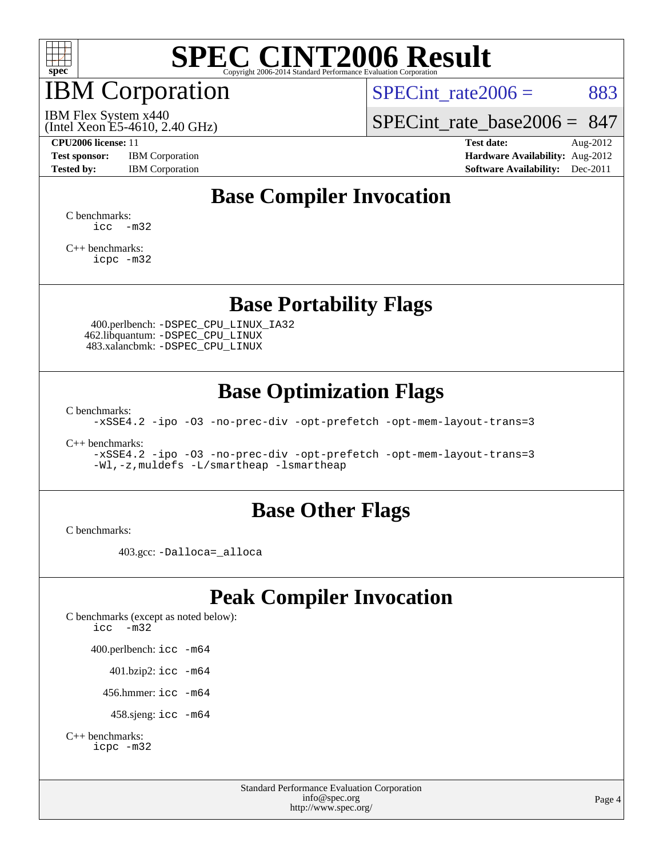

# IBM Corporation

SPECint rate $2006 = 883$ 

(Intel Xeon E5-4610, 2.40 GHz) IBM Flex System x440

[SPECint\\_rate\\_base2006 =](http://www.spec.org/auto/cpu2006/Docs/result-fields.html#SPECintratebase2006) 847

**[Test sponsor:](http://www.spec.org/auto/cpu2006/Docs/result-fields.html#Testsponsor)** IBM Corporation **[Hardware Availability:](http://www.spec.org/auto/cpu2006/Docs/result-fields.html#HardwareAvailability)** Aug-2012

**[CPU2006 license:](http://www.spec.org/auto/cpu2006/Docs/result-fields.html#CPU2006license)** 11 **[Test date:](http://www.spec.org/auto/cpu2006/Docs/result-fields.html#Testdate)** Aug-2012 **[Tested by:](http://www.spec.org/auto/cpu2006/Docs/result-fields.html#Testedby)** IBM Corporation **[Software Availability:](http://www.spec.org/auto/cpu2006/Docs/result-fields.html#SoftwareAvailability)** Dec-2011

## **[Base Compiler Invocation](http://www.spec.org/auto/cpu2006/Docs/result-fields.html#BaseCompilerInvocation)**

[C benchmarks](http://www.spec.org/auto/cpu2006/Docs/result-fields.html#Cbenchmarks):  $\text{icc}$   $-\text{m32}$ 

[C++ benchmarks:](http://www.spec.org/auto/cpu2006/Docs/result-fields.html#CXXbenchmarks) [icpc -m32](http://www.spec.org/cpu2006/results/res2012q3/cpu2006-20120823-24321.flags.html#user_CXXbase_intel_icpc_4e5a5ef1a53fd332b3c49e69c3330699)

### **[Base Portability Flags](http://www.spec.org/auto/cpu2006/Docs/result-fields.html#BasePortabilityFlags)**

 400.perlbench: [-DSPEC\\_CPU\\_LINUX\\_IA32](http://www.spec.org/cpu2006/results/res2012q3/cpu2006-20120823-24321.flags.html#b400.perlbench_baseCPORTABILITY_DSPEC_CPU_LINUX_IA32) 462.libquantum: [-DSPEC\\_CPU\\_LINUX](http://www.spec.org/cpu2006/results/res2012q3/cpu2006-20120823-24321.flags.html#b462.libquantum_baseCPORTABILITY_DSPEC_CPU_LINUX) 483.xalancbmk: [-DSPEC\\_CPU\\_LINUX](http://www.spec.org/cpu2006/results/res2012q3/cpu2006-20120823-24321.flags.html#b483.xalancbmk_baseCXXPORTABILITY_DSPEC_CPU_LINUX)

### **[Base Optimization Flags](http://www.spec.org/auto/cpu2006/Docs/result-fields.html#BaseOptimizationFlags)**

[C benchmarks](http://www.spec.org/auto/cpu2006/Docs/result-fields.html#Cbenchmarks):

[-xSSE4.2](http://www.spec.org/cpu2006/results/res2012q3/cpu2006-20120823-24321.flags.html#user_CCbase_f-xSSE42_f91528193cf0b216347adb8b939d4107) [-ipo](http://www.spec.org/cpu2006/results/res2012q3/cpu2006-20120823-24321.flags.html#user_CCbase_f-ipo) [-O3](http://www.spec.org/cpu2006/results/res2012q3/cpu2006-20120823-24321.flags.html#user_CCbase_f-O3) [-no-prec-div](http://www.spec.org/cpu2006/results/res2012q3/cpu2006-20120823-24321.flags.html#user_CCbase_f-no-prec-div) [-opt-prefetch](http://www.spec.org/cpu2006/results/res2012q3/cpu2006-20120823-24321.flags.html#user_CCbase_f-opt-prefetch) [-opt-mem-layout-trans=3](http://www.spec.org/cpu2006/results/res2012q3/cpu2006-20120823-24321.flags.html#user_CCbase_f-opt-mem-layout-trans_a7b82ad4bd7abf52556d4961a2ae94d5)

[C++ benchmarks:](http://www.spec.org/auto/cpu2006/Docs/result-fields.html#CXXbenchmarks)

[-xSSE4.2](http://www.spec.org/cpu2006/results/res2012q3/cpu2006-20120823-24321.flags.html#user_CXXbase_f-xSSE42_f91528193cf0b216347adb8b939d4107) [-ipo](http://www.spec.org/cpu2006/results/res2012q3/cpu2006-20120823-24321.flags.html#user_CXXbase_f-ipo) [-O3](http://www.spec.org/cpu2006/results/res2012q3/cpu2006-20120823-24321.flags.html#user_CXXbase_f-O3) [-no-prec-div](http://www.spec.org/cpu2006/results/res2012q3/cpu2006-20120823-24321.flags.html#user_CXXbase_f-no-prec-div) [-opt-prefetch](http://www.spec.org/cpu2006/results/res2012q3/cpu2006-20120823-24321.flags.html#user_CXXbase_f-opt-prefetch) [-opt-mem-layout-trans=3](http://www.spec.org/cpu2006/results/res2012q3/cpu2006-20120823-24321.flags.html#user_CXXbase_f-opt-mem-layout-trans_a7b82ad4bd7abf52556d4961a2ae94d5) [-Wl,-z,muldefs](http://www.spec.org/cpu2006/results/res2012q3/cpu2006-20120823-24321.flags.html#user_CXXbase_link_force_multiple1_74079c344b956b9658436fd1b6dd3a8a) [-L/smartheap -lsmartheap](http://www.spec.org/cpu2006/results/res2012q3/cpu2006-20120823-24321.flags.html#user_CXXbase_SmartHeap_7c9e394a5779e1a7fec7c221e123830c)

### **[Base Other Flags](http://www.spec.org/auto/cpu2006/Docs/result-fields.html#BaseOtherFlags)**

[C benchmarks](http://www.spec.org/auto/cpu2006/Docs/result-fields.html#Cbenchmarks):

403.gcc: [-Dalloca=\\_alloca](http://www.spec.org/cpu2006/results/res2012q3/cpu2006-20120823-24321.flags.html#b403.gcc_baseEXTRA_CFLAGS_Dalloca_be3056838c12de2578596ca5467af7f3)

## **[Peak Compiler Invocation](http://www.spec.org/auto/cpu2006/Docs/result-fields.html#PeakCompilerInvocation)**

[C benchmarks \(except as noted below\)](http://www.spec.org/auto/cpu2006/Docs/result-fields.html#Cbenchmarksexceptasnotedbelow): [icc -m32](http://www.spec.org/cpu2006/results/res2012q3/cpu2006-20120823-24321.flags.html#user_CCpeak_intel_icc_5ff4a39e364c98233615fdd38438c6f2) 400.perlbench: [icc -m64](http://www.spec.org/cpu2006/results/res2012q3/cpu2006-20120823-24321.flags.html#user_peakCCLD400_perlbench_intel_icc_64bit_bda6cc9af1fdbb0edc3795bac97ada53) 401.bzip2: [icc -m64](http://www.spec.org/cpu2006/results/res2012q3/cpu2006-20120823-24321.flags.html#user_peakCCLD401_bzip2_intel_icc_64bit_bda6cc9af1fdbb0edc3795bac97ada53)

456.hmmer: [icc -m64](http://www.spec.org/cpu2006/results/res2012q3/cpu2006-20120823-24321.flags.html#user_peakCCLD456_hmmer_intel_icc_64bit_bda6cc9af1fdbb0edc3795bac97ada53)

458.sjeng: [icc -m64](http://www.spec.org/cpu2006/results/res2012q3/cpu2006-20120823-24321.flags.html#user_peakCCLD458_sjeng_intel_icc_64bit_bda6cc9af1fdbb0edc3795bac97ada53)

```
C++ benchmarks: 
icpc -m32
```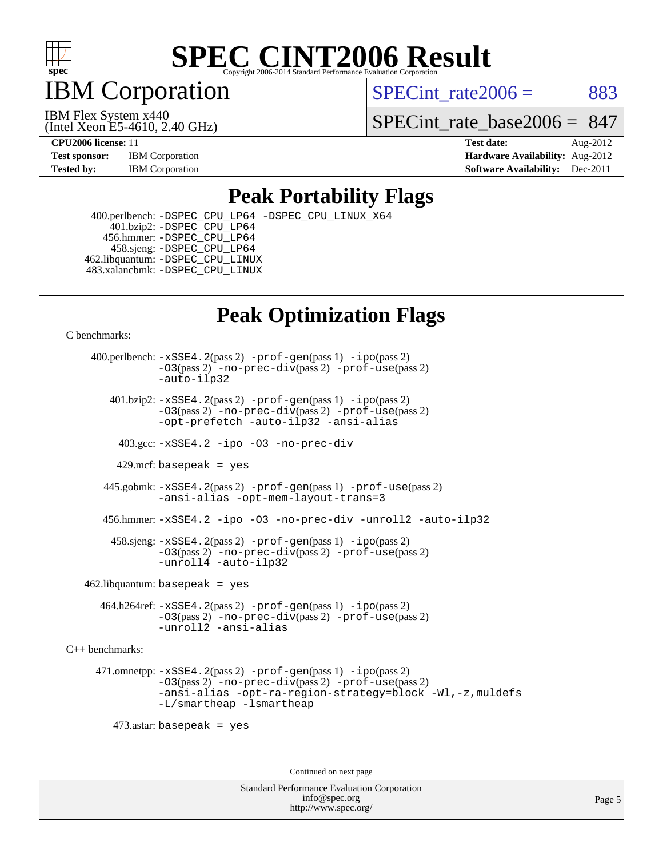

IBM Corporation

SPECint rate $2006 = 883$ 

(Intel Xeon E5-4610, 2.40 GHz) IBM Flex System x440

SPECint rate base2006 =  $847$ 

**[CPU2006 license:](http://www.spec.org/auto/cpu2006/Docs/result-fields.html#CPU2006license)** 11 **[Test date:](http://www.spec.org/auto/cpu2006/Docs/result-fields.html#Testdate)** Aug-2012 **[Test sponsor:](http://www.spec.org/auto/cpu2006/Docs/result-fields.html#Testsponsor)** IBM Corporation **[Hardware Availability:](http://www.spec.org/auto/cpu2006/Docs/result-fields.html#HardwareAvailability)** Aug-2012 **[Tested by:](http://www.spec.org/auto/cpu2006/Docs/result-fields.html#Testedby)** IBM Corporation **IBM** Corporation **[Software Availability:](http://www.spec.org/auto/cpu2006/Docs/result-fields.html#SoftwareAvailability)** Dec-2011

### **[Peak Portability Flags](http://www.spec.org/auto/cpu2006/Docs/result-fields.html#PeakPortabilityFlags)**

 400.perlbench: [-DSPEC\\_CPU\\_LP64](http://www.spec.org/cpu2006/results/res2012q3/cpu2006-20120823-24321.flags.html#b400.perlbench_peakCPORTABILITY_DSPEC_CPU_LP64) [-DSPEC\\_CPU\\_LINUX\\_X64](http://www.spec.org/cpu2006/results/res2012q3/cpu2006-20120823-24321.flags.html#b400.perlbench_peakCPORTABILITY_DSPEC_CPU_LINUX_X64) 401.bzip2: [-DSPEC\\_CPU\\_LP64](http://www.spec.org/cpu2006/results/res2012q3/cpu2006-20120823-24321.flags.html#suite_peakCPORTABILITY401_bzip2_DSPEC_CPU_LP64) 456.hmmer: [-DSPEC\\_CPU\\_LP64](http://www.spec.org/cpu2006/results/res2012q3/cpu2006-20120823-24321.flags.html#suite_peakCPORTABILITY456_hmmer_DSPEC_CPU_LP64) 458.sjeng: [-DSPEC\\_CPU\\_LP64](http://www.spec.org/cpu2006/results/res2012q3/cpu2006-20120823-24321.flags.html#suite_peakCPORTABILITY458_sjeng_DSPEC_CPU_LP64) 462.libquantum: [-DSPEC\\_CPU\\_LINUX](http://www.spec.org/cpu2006/results/res2012q3/cpu2006-20120823-24321.flags.html#b462.libquantum_peakCPORTABILITY_DSPEC_CPU_LINUX) 483.xalancbmk: [-DSPEC\\_CPU\\_LINUX](http://www.spec.org/cpu2006/results/res2012q3/cpu2006-20120823-24321.flags.html#b483.xalancbmk_peakCXXPORTABILITY_DSPEC_CPU_LINUX)

## **[Peak Optimization Flags](http://www.spec.org/auto/cpu2006/Docs/result-fields.html#PeakOptimizationFlags)**

[C benchmarks](http://www.spec.org/auto/cpu2006/Docs/result-fields.html#Cbenchmarks):

 400.perlbench: [-xSSE4.2](http://www.spec.org/cpu2006/results/res2012q3/cpu2006-20120823-24321.flags.html#user_peakPASS2_CFLAGSPASS2_LDCFLAGS400_perlbench_f-xSSE42_f91528193cf0b216347adb8b939d4107)(pass 2) [-prof-gen](http://www.spec.org/cpu2006/results/res2012q3/cpu2006-20120823-24321.flags.html#user_peakPASS1_CFLAGSPASS1_LDCFLAGS400_perlbench_prof_gen_e43856698f6ca7b7e442dfd80e94a8fc)(pass 1) [-ipo](http://www.spec.org/cpu2006/results/res2012q3/cpu2006-20120823-24321.flags.html#user_peakPASS2_CFLAGSPASS2_LDCFLAGS400_perlbench_f-ipo)(pass 2) [-O3](http://www.spec.org/cpu2006/results/res2012q3/cpu2006-20120823-24321.flags.html#user_peakPASS2_CFLAGSPASS2_LDCFLAGS400_perlbench_f-O3)(pass 2) [-no-prec-div](http://www.spec.org/cpu2006/results/res2012q3/cpu2006-20120823-24321.flags.html#user_peakPASS2_CFLAGSPASS2_LDCFLAGS400_perlbench_f-no-prec-div)(pass 2) [-prof-use](http://www.spec.org/cpu2006/results/res2012q3/cpu2006-20120823-24321.flags.html#user_peakPASS2_CFLAGSPASS2_LDCFLAGS400_perlbench_prof_use_bccf7792157ff70d64e32fe3e1250b55)(pass 2) [-auto-ilp32](http://www.spec.org/cpu2006/results/res2012q3/cpu2006-20120823-24321.flags.html#user_peakCOPTIMIZE400_perlbench_f-auto-ilp32)  $401.bzip2: -xSSE4.2(pass 2) -prof-qen(pass 1) -ipo(pass 2)$  $401.bzip2: -xSSE4.2(pass 2) -prof-qen(pass 1) -ipo(pass 2)$  $401.bzip2: -xSSE4.2(pass 2) -prof-qen(pass 1) -ipo(pass 2)$  $401.bzip2: -xSSE4.2(pass 2) -prof-qen(pass 1) -ipo(pass 2)$  $401.bzip2: -xSSE4.2(pass 2) -prof-qen(pass 1) -ipo(pass 2)$ [-O3](http://www.spec.org/cpu2006/results/res2012q3/cpu2006-20120823-24321.flags.html#user_peakPASS2_CFLAGSPASS2_LDCFLAGS401_bzip2_f-O3)(pass 2) [-no-prec-div](http://www.spec.org/cpu2006/results/res2012q3/cpu2006-20120823-24321.flags.html#user_peakPASS2_CFLAGSPASS2_LDCFLAGS401_bzip2_f-no-prec-div)(pass 2) [-prof-use](http://www.spec.org/cpu2006/results/res2012q3/cpu2006-20120823-24321.flags.html#user_peakPASS2_CFLAGSPASS2_LDCFLAGS401_bzip2_prof_use_bccf7792157ff70d64e32fe3e1250b55)(pass 2) [-opt-prefetch](http://www.spec.org/cpu2006/results/res2012q3/cpu2006-20120823-24321.flags.html#user_peakCOPTIMIZE401_bzip2_f-opt-prefetch) [-auto-ilp32](http://www.spec.org/cpu2006/results/res2012q3/cpu2006-20120823-24321.flags.html#user_peakCOPTIMIZE401_bzip2_f-auto-ilp32) [-ansi-alias](http://www.spec.org/cpu2006/results/res2012q3/cpu2006-20120823-24321.flags.html#user_peakCOPTIMIZE401_bzip2_f-ansi-alias) 403.gcc: [-xSSE4.2](http://www.spec.org/cpu2006/results/res2012q3/cpu2006-20120823-24321.flags.html#user_peakCOPTIMIZE403_gcc_f-xSSE42_f91528193cf0b216347adb8b939d4107) [-ipo](http://www.spec.org/cpu2006/results/res2012q3/cpu2006-20120823-24321.flags.html#user_peakCOPTIMIZE403_gcc_f-ipo) [-O3](http://www.spec.org/cpu2006/results/res2012q3/cpu2006-20120823-24321.flags.html#user_peakCOPTIMIZE403_gcc_f-O3) [-no-prec-div](http://www.spec.org/cpu2006/results/res2012q3/cpu2006-20120823-24321.flags.html#user_peakCOPTIMIZE403_gcc_f-no-prec-div) 429.mcf: basepeak = yes 445.gobmk: [-xSSE4.2](http://www.spec.org/cpu2006/results/res2012q3/cpu2006-20120823-24321.flags.html#user_peakPASS2_CFLAGSPASS2_LDCFLAGS445_gobmk_f-xSSE42_f91528193cf0b216347adb8b939d4107)(pass 2) [-prof-gen](http://www.spec.org/cpu2006/results/res2012q3/cpu2006-20120823-24321.flags.html#user_peakPASS1_CFLAGSPASS1_LDCFLAGS445_gobmk_prof_gen_e43856698f6ca7b7e442dfd80e94a8fc)(pass 1) [-prof-use](http://www.spec.org/cpu2006/results/res2012q3/cpu2006-20120823-24321.flags.html#user_peakPASS2_CFLAGSPASS2_LDCFLAGS445_gobmk_prof_use_bccf7792157ff70d64e32fe3e1250b55)(pass 2) [-ansi-alias](http://www.spec.org/cpu2006/results/res2012q3/cpu2006-20120823-24321.flags.html#user_peakCOPTIMIZE445_gobmk_f-ansi-alias) [-opt-mem-layout-trans=3](http://www.spec.org/cpu2006/results/res2012q3/cpu2006-20120823-24321.flags.html#user_peakCOPTIMIZE445_gobmk_f-opt-mem-layout-trans_a7b82ad4bd7abf52556d4961a2ae94d5) 456.hmmer: [-xSSE4.2](http://www.spec.org/cpu2006/results/res2012q3/cpu2006-20120823-24321.flags.html#user_peakCOPTIMIZE456_hmmer_f-xSSE42_f91528193cf0b216347adb8b939d4107) [-ipo](http://www.spec.org/cpu2006/results/res2012q3/cpu2006-20120823-24321.flags.html#user_peakCOPTIMIZE456_hmmer_f-ipo) [-O3](http://www.spec.org/cpu2006/results/res2012q3/cpu2006-20120823-24321.flags.html#user_peakCOPTIMIZE456_hmmer_f-O3) [-no-prec-div](http://www.spec.org/cpu2006/results/res2012q3/cpu2006-20120823-24321.flags.html#user_peakCOPTIMIZE456_hmmer_f-no-prec-div) [-unroll2](http://www.spec.org/cpu2006/results/res2012q3/cpu2006-20120823-24321.flags.html#user_peakCOPTIMIZE456_hmmer_f-unroll_784dae83bebfb236979b41d2422d7ec2) [-auto-ilp32](http://www.spec.org/cpu2006/results/res2012q3/cpu2006-20120823-24321.flags.html#user_peakCOPTIMIZE456_hmmer_f-auto-ilp32) 458.sjeng: [-xSSE4.2](http://www.spec.org/cpu2006/results/res2012q3/cpu2006-20120823-24321.flags.html#user_peakPASS2_CFLAGSPASS2_LDCFLAGS458_sjeng_f-xSSE42_f91528193cf0b216347adb8b939d4107)(pass 2) [-prof-gen](http://www.spec.org/cpu2006/results/res2012q3/cpu2006-20120823-24321.flags.html#user_peakPASS1_CFLAGSPASS1_LDCFLAGS458_sjeng_prof_gen_e43856698f6ca7b7e442dfd80e94a8fc)(pass 1) [-ipo](http://www.spec.org/cpu2006/results/res2012q3/cpu2006-20120823-24321.flags.html#user_peakPASS2_CFLAGSPASS2_LDCFLAGS458_sjeng_f-ipo)(pass 2) [-O3](http://www.spec.org/cpu2006/results/res2012q3/cpu2006-20120823-24321.flags.html#user_peakPASS2_CFLAGSPASS2_LDCFLAGS458_sjeng_f-O3)(pass 2) [-no-prec-div](http://www.spec.org/cpu2006/results/res2012q3/cpu2006-20120823-24321.flags.html#user_peakPASS2_CFLAGSPASS2_LDCFLAGS458_sjeng_f-no-prec-div)(pass 2) [-prof-use](http://www.spec.org/cpu2006/results/res2012q3/cpu2006-20120823-24321.flags.html#user_peakPASS2_CFLAGSPASS2_LDCFLAGS458_sjeng_prof_use_bccf7792157ff70d64e32fe3e1250b55)(pass 2) [-unroll4](http://www.spec.org/cpu2006/results/res2012q3/cpu2006-20120823-24321.flags.html#user_peakCOPTIMIZE458_sjeng_f-unroll_4e5e4ed65b7fd20bdcd365bec371b81f) [-auto-ilp32](http://www.spec.org/cpu2006/results/res2012q3/cpu2006-20120823-24321.flags.html#user_peakCOPTIMIZE458_sjeng_f-auto-ilp32)  $462$ .libquantum: basepeak = yes 464.h264ref: [-xSSE4.2](http://www.spec.org/cpu2006/results/res2012q3/cpu2006-20120823-24321.flags.html#user_peakPASS2_CFLAGSPASS2_LDCFLAGS464_h264ref_f-xSSE42_f91528193cf0b216347adb8b939d4107)(pass 2) [-prof-gen](http://www.spec.org/cpu2006/results/res2012q3/cpu2006-20120823-24321.flags.html#user_peakPASS1_CFLAGSPASS1_LDCFLAGS464_h264ref_prof_gen_e43856698f6ca7b7e442dfd80e94a8fc)(pass 1) [-ipo](http://www.spec.org/cpu2006/results/res2012q3/cpu2006-20120823-24321.flags.html#user_peakPASS2_CFLAGSPASS2_LDCFLAGS464_h264ref_f-ipo)(pass 2) [-O3](http://www.spec.org/cpu2006/results/res2012q3/cpu2006-20120823-24321.flags.html#user_peakPASS2_CFLAGSPASS2_LDCFLAGS464_h264ref_f-O3)(pass 2) [-no-prec-div](http://www.spec.org/cpu2006/results/res2012q3/cpu2006-20120823-24321.flags.html#user_peakPASS2_CFLAGSPASS2_LDCFLAGS464_h264ref_f-no-prec-div)(pass 2) [-prof-use](http://www.spec.org/cpu2006/results/res2012q3/cpu2006-20120823-24321.flags.html#user_peakPASS2_CFLAGSPASS2_LDCFLAGS464_h264ref_prof_use_bccf7792157ff70d64e32fe3e1250b55)(pass 2) [-unroll2](http://www.spec.org/cpu2006/results/res2012q3/cpu2006-20120823-24321.flags.html#user_peakCOPTIMIZE464_h264ref_f-unroll_784dae83bebfb236979b41d2422d7ec2) [-ansi-alias](http://www.spec.org/cpu2006/results/res2012q3/cpu2006-20120823-24321.flags.html#user_peakCOPTIMIZE464_h264ref_f-ansi-alias) [C++ benchmarks:](http://www.spec.org/auto/cpu2006/Docs/result-fields.html#CXXbenchmarks) 471.omnetpp: [-xSSE4.2](http://www.spec.org/cpu2006/results/res2012q3/cpu2006-20120823-24321.flags.html#user_peakPASS2_CXXFLAGSPASS2_LDCXXFLAGS471_omnetpp_f-xSSE42_f91528193cf0b216347adb8b939d4107)(pass 2) [-prof-gen](http://www.spec.org/cpu2006/results/res2012q3/cpu2006-20120823-24321.flags.html#user_peakPASS1_CXXFLAGSPASS1_LDCXXFLAGS471_omnetpp_prof_gen_e43856698f6ca7b7e442dfd80e94a8fc)(pass 1) [-ipo](http://www.spec.org/cpu2006/results/res2012q3/cpu2006-20120823-24321.flags.html#user_peakPASS2_CXXFLAGSPASS2_LDCXXFLAGS471_omnetpp_f-ipo)(pass 2) [-O3](http://www.spec.org/cpu2006/results/res2012q3/cpu2006-20120823-24321.flags.html#user_peakPASS2_CXXFLAGSPASS2_LDCXXFLAGS471_omnetpp_f-O3)(pass 2) [-no-prec-div](http://www.spec.org/cpu2006/results/res2012q3/cpu2006-20120823-24321.flags.html#user_peakPASS2_CXXFLAGSPASS2_LDCXXFLAGS471_omnetpp_f-no-prec-div)(pass 2) [-prof-use](http://www.spec.org/cpu2006/results/res2012q3/cpu2006-20120823-24321.flags.html#user_peakPASS2_CXXFLAGSPASS2_LDCXXFLAGS471_omnetpp_prof_use_bccf7792157ff70d64e32fe3e1250b55)(pass 2) [-ansi-alias](http://www.spec.org/cpu2006/results/res2012q3/cpu2006-20120823-24321.flags.html#user_peakCXXOPTIMIZE471_omnetpp_f-ansi-alias) [-opt-ra-region-strategy=block](http://www.spec.org/cpu2006/results/res2012q3/cpu2006-20120823-24321.flags.html#user_peakCXXOPTIMIZE471_omnetpp_f-opt-ra-region-strategy_a0a37c372d03933b2a18d4af463c1f69) [-Wl,-z,muldefs](http://www.spec.org/cpu2006/results/res2012q3/cpu2006-20120823-24321.flags.html#user_peakEXTRA_LDFLAGS471_omnetpp_link_force_multiple1_74079c344b956b9658436fd1b6dd3a8a) [-L/smartheap -lsmartheap](http://www.spec.org/cpu2006/results/res2012q3/cpu2006-20120823-24321.flags.html#user_peakEXTRA_LIBS471_omnetpp_SmartHeap_7c9e394a5779e1a7fec7c221e123830c) 473.astar: basepeak = yes

Continued on next page